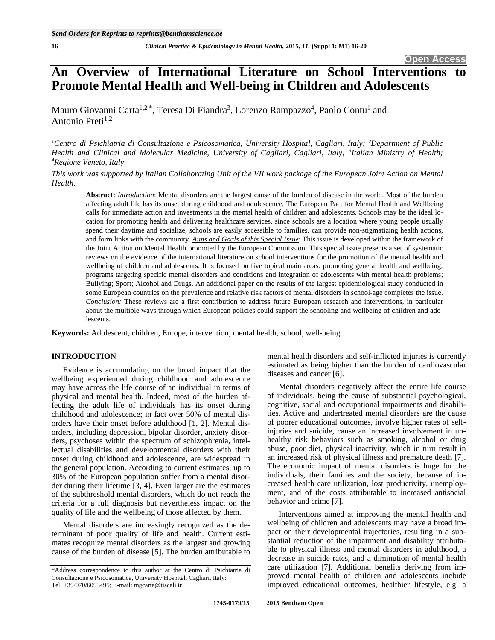# **An Overview of International Literature on School Interventions to Promote Mental Health and Well-being in Children and Adolescents**

Mauro Giovanni Carta<sup>1,2,\*</sup>, Teresa Di Fiandra<sup>3</sup>, Lorenzo Rampazzo<sup>4</sup>, Paolo Contu<sup>1</sup> and Antonio Preti $^{1,2}$ 

<sup>1</sup>Centro di Psichiatria di Consultazione e Psicosomatica, University Hospital, Cagliari, Italy; <sup>2</sup>Department of Public Health and Clinical and Molecular Medicine, University of Cagliari, Cagliari, Italy; <sup>3</sup>Italian Ministry of Health;<br><sup>4</sup> Regione Veneto Italy *Regione Veneto, Italy* 

*This work was supported by Italian Collaborating Unit of the VII work package of the European Joint Action on Mental Health.* 

**Abstract:** *Introduction*: Mental disorders are the largest cause of the burden of disease in the world. Most of the burden affecting adult life has its onset during childhood and adolescence. The European Pact for Mental Health and Wellbeing calls for immediate action and investments in the mental health of children and adolescents. Schools may be the ideal location for promoting health and delivering healthcare services, since schools are a location where young people usually spend their daytime and socialize, schools are easily accessible to families, can provide non-stigmatizing health actions, and form links with the community. *Aims and Goals of this Special Issue*: This issue is developed within the framework of the Joint Action on Mental Health promoted by the European Commission. This special issue presents a set of systematic reviews on the evidence of the international literature on school interventions for the promotion of the mental health and wellbeing of children and adolescents. It is focused on five topical main areas: promoting general health and wellbeing; programs targeting specific mental disorders and conditions and integration of adolescents with mental health problems; Bullying; Sport; Alcohol and Drugs. An additional paper on the results of the largest epidemiological study conducted in some European countries on the prevalence and relative risk factors of mental disorders in school-age completes the issue. *Conclusion:* These reviews are a first contribution to address future European research and interventions, in particular about the multiple ways through which European policies could support the schooling and wellbeing of children and adolescents.

**Keywords:** Adolescent, children, Europe, intervention, mental health, school, well-being.

# **INTRODUCTION**

Evidence is accumulating on the broad impact that the wellbeing experienced during childhood and adolescence may have across the life course of an individual in terms of physical and mental health. Indeed, most of the burden affecting the adult life of individuals has its onset during childhood and adolescence; in fact over 50% of mental disorders have their onset before adulthood [1, 2]. Mental disorders, including depression, bipolar disorder, anxiety disorders, psychoses within the spectrum of schizophrenia, intellectual disabilities and developmental disorders with their onset during childhood and adolescence, are widespread in the general population. According to current estimates, up to 30% of the European population suffer from a mental disorder during their lifetime [3, 4]. Even larger are the estimates of the subthreshold mental disorders, which do not reach the criteria for a full diagnosis but nevertheless impact on the quality of life and the wellbeing of those affected by them.

Mental disorders are increasingly recognized as the determinant of poor quality of life and health. Current estimates recognize mental disorders as the largest and growing cause of the burden of disease [5]. The burden attributable to mental health disorders and self-inflicted injuries is currently estimated as being higher than the burden of cardiovascular diseases and cancer [6].

Mental disorders negatively affect the entire life course of individuals, being the cause of substantial psychological, cognitive, social and occupational impairments and disabilities. Active and undertreated mental disorders are the cause of poorer educational outcomes, involve higher rates of selfinjuries and suicide, cause an increased involvement in unhealthy risk behaviors such as smoking, alcohol or drug abuse, poor diet, physical inactivity, which in turn result in an increased risk of physical illness and premature death [7]. The economic impact of mental disorders is huge for the individuals, their families and the society, because of increased health care utilization, lost productivity, unemployment, and of the costs attributable to increased antisocial behavior and crime [7].

Interventions aimed at improving the mental health and wellbeing of children and adolescents may have a broad impact on their developmental trajectories, resulting in a substantial reduction of the impairment and disability attributable to physical illness and mental disorders in adulthood, a decrease in suicide rates, and a diminution of mental health care utilization [7]. Additional benefits deriving from improved mental health of children and adolescents include improved educational outcomes, healthier lifestyle, e.g. a

<sup>\*</sup>Address correspondence to this author at the Centro di Psichiatria di Consultazione e Psicosomatica, University Hospital, Cagliari, Italy: Tel: +39/070/6093495; E-mail: mgcarta@tiscali.ir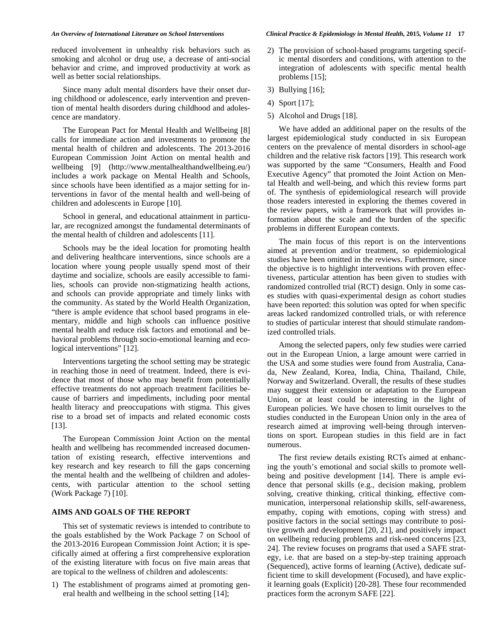reduced involvement in unhealthy risk behaviors such as smoking and alcohol or drug use, a decrease of anti-social behavior and crime, and improved productivity at work as well as better social relationships.

Since many adult mental disorders have their onset during childhood or adolescence, early intervention and prevention of mental health disorders during childhood and adolescence are mandatory.

The European Pact for Mental Health and Wellbeing [8] calls for immediate action and investments to promote the mental health of children and adolescents. The 2013-2016 European Commission Joint Action on mental health and wellbeing [9] (http://www.mentalhealthandwellbeing.eu/) includes a work package on Mental Health and Schools, since schools have been identified as a major setting for interventions in favor of the mental health and well-being of children and adolescents in Europe [10].

School in general, and educational attainment in particular, are recognized amongst the fundamental determinants of the mental health of children and adolescents [11].

Schools may be the ideal location for promoting health and delivering healthcare interventions, since schools are a location where young people usually spend most of their daytime and socialize, schools are easily accessible to families, schools can provide non-stigmatizing health actions, and schools can provide appropriate and timely links with the community. As stated by the World Health Organization, "there is ample evidence that school based programs in elementary, middle and high schools can influence positive mental health and reduce risk factors and emotional and behavioral problems through socio-emotional learning and ecological interventions" [12].

Interventions targeting the school setting may be strategic in reaching those in need of treatment. Indeed, there is evidence that most of those who may benefit from potentially effective treatments do not approach treatment facilities because of barriers and impediments, including poor mental health literacy and preoccupations with stigma. This gives rise to a broad set of impacts and related economic costs [13].

The European Commission Joint Action on the mental health and wellbeing has recommended increased documentation of existing research, effective interventions and key research and key research to fill the gaps concerning the mental health and the wellbeing of children and adolescents, with particular attention to the school setting (Work Package 7) [10].

# **AIMS AND GOALS OF THE REPORT**

This set of systematic reviews is intended to contribute to the goals established by the Work Package 7 on School of the 2013-2016 European Commission Joint Action; it is specifically aimed at offering a first comprehensive exploration of the existing literature with focus on five main areas that are topical to the wellness of children and adolescents:

1) The establishment of programs aimed at promoting general health and wellbeing in the school setting [14];

- 2) The provision of school-based programs targeting specific mental disorders and conditions, with attention to the integration of adolescents with specific mental health problems [15];
- 3) Bullying [16];
- 4) Sport [17];
- 5) Alcohol and Drugs [18].

We have added an additional paper on the results of the largest epidemiological study conducted in six European centers on the prevalence of mental disorders in school-age children and the relative risk factors [19]. This research work was supported by the same "Consumers, Health and Food Executive Agency" that promoted the Joint Action on Mental Health and well-being, and which this review forms part of. The synthesis of epidemiological research will provide those readers interested in exploring the themes covered in the review papers, with a framework that will provides information about the scale and the burden of the specific problems in different European contexts.

The main focus of this report is on the interventions aimed at prevention and/or treatment, so epidemiological studies have been omitted in the reviews. Furthermore, since the objective is to highlight interventions with proven effectiveness, particular attention has been given to studies with randomized controlled trial (RCT) design. Only in some cases studies with quasi-experimental design as cohort studies have been reported: this solution was opted for when specific areas lacked randomized controlled trials, or with reference to studies of particular interest that should stimulate randomized controlled trials.

Among the selected papers, only few studies were carried out in the European Union, a large amount were carried in the USA and some studies were found from Australia, Canada, New Zealand, Korea, India, China, Thailand, Chile, Norway and Switzerland. Overall, the results of these studies may suggest their extension or adaptation to the European Union, or at least could be interesting in the light of European policies. We have chosen to limit ourselves to the studies conducted in the European Union only in the area of research aimed at improving well-being through interventions on sport. European studies in this field are in fact numerous.

The first review details existing RCTs aimed at enhancing the youth's emotional and social skills to promote wellbeing and positive development [14]. There is ample evidence that personal skills (e.g., decision making, problem solving, creative thinking, critical thinking, effective communication, interpersonal relationship skills, self-awareness, empathy, coping with emotions, coping with stress) and positive factors in the social settings may contribute to positive growth and development [20, 21], and positively impact on wellbeing reducing problems and risk-need concerns [23, 24]. The review focuses on programs that used a SAFE strategy, i.e. that are based on a step-by-step training approach (Sequenced), active forms of learning (Active), dedicate sufficient time to skill development (Focused), and have explicit learning goals (Explicit) [20-28]. These four recommended practices form the acronym SAFE [22].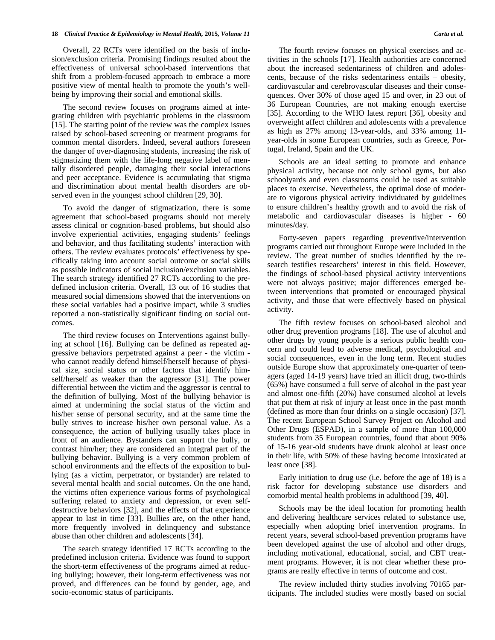### **18** *Clinical Practice & Epidemiology in Mental Health,* **2015***, Volume 11 Carta et al.*

Overall, 22 RCTs were identified on the basis of inclusion/exclusion criteria. Promising findings resulted about the effectiveness of universal school-based interventions that shift from a problem-focused approach to embrace a more positive view of mental health to promote the youth's wellbeing by improving their social and emotional skills.

The second review focuses on programs aimed at integrating children with psychiatric problems in the classroom [15]. The starting point of the review was the complex issues raised by school-based screening or treatment programs for common mental disorders. Indeed, several authors foreseen the danger of over-diagnosing students, increasing the risk of stigmatizing them with the life-long negative label of mentally disordered people, damaging their social interactions and peer acceptance. Evidence is accumulating that stigma and discrimination about mental health disorders are observed even in the youngest school children [29, 30].

To avoid the danger of stigmatization, there is some agreement that school-based programs should not merely assess clinical or cognition-based problems, but should also involve experiential activities, engaging students' feelings and behavior, and thus facilitating students' interaction with others. The review evaluates protocols' effectiveness by specifically taking into account social outcome or social skills as possible indicators of social inclusion/exclusion variables. The search strategy identified 27 RCTs according to the predefined inclusion criteria. Overall, 13 out of 16 studies that measured social dimensions showed that the interventions on these social variables had a positive impact, while 3 studies reported a non-statistically significant finding on social outcomes.

The third review focuses on Interventions against bullying at school [16]. Bullying can be defined as repeated aggressive behaviors perpetrated against a peer - the victim who cannot readily defend himself/herself because of physical size, social status or other factors that identify himself/herself as weaker than the aggressor [31]. The power differential between the victim and the aggressor is central to the definition of bullying. Most of the bullying behavior is aimed at undermining the social status of the victim and his/her sense of personal security, and at the same time the bully strives to increase his/her own personal value. As a consequence, the action of bullying usually takes place in front of an audience. Bystanders can support the bully, or contrast him/her; they are considered an integral part of the bullying behavior. Bullying is a very common problem of school environments and the effects of the exposition to bullying (as a victim, perpetrator, or bystander) are related to several mental health and social outcomes. On the one hand, the victims often experience various forms of psychological suffering related to anxiety and depression, or even selfdestructive behaviors [32], and the effects of that experience appear to last in time [33]. Bullies are, on the other hand, more frequently involved in delinquency and substance abuse than other children and adolescents [34].

The search strategy identified 17 RCTs according to the predefined inclusion criteria. Evidence was found to support the short-term effectiveness of the programs aimed at reducing bullying; however, their long-term effectiveness was not proved, and differences can be found by gender, age, and socio-economic status of participants.

The fourth review focuses on physical exercises and activities in the schools [17]. Health authorities are concerned about the increased sedentariness of children and adolescents, because of the risks sedentariness entails – obesity, cardiovascular and cerebrovascular diseases and their consequences. Over 30% of those aged 15 and over, in 23 out of 36 European Countries, are not making enough exercise [35]. According to the WHO latest report [36], obesity and overweight affect children and adolescents with a prevalence as high as 27% among 13-year-olds, and 33% among 11 year-olds in some European countries, such as Greece, Portugal, Ireland, Spain and the UK.

Schools are an ideal setting to promote and enhance physical activity, because not only school gyms, but also schoolyards and even classrooms could be used as suitable places to exercise. Nevertheless, the optimal dose of moderate to vigorous physical activity individuated by guidelines to ensure children's healthy growth and to avoid the risk of metabolic and cardiovascular diseases is higher - 60 minutes/day.

Forty-seven papers regarding preventive/intervention programs carried out throughout Europe were included in the review. The great number of studies identified by the research testifies researchers' interest in this field. However, the findings of school-based physical activity interventions were not always positive; major differences emerged between interventions that promoted or encouraged physical activity, and those that were effectively based on physical activity.

The fifth review focuses on school-based alcohol and other drug prevention programs [18]. The use of alcohol and other drugs by young people is a serious public health concern and could lead to adverse medical, psychological and social consequences, even in the long term. Recent studies outside Europe show that approximately one-quarter of teenagers (aged 14-19 years) have tried an illicit drug, two-thirds (65%) have consumed a full serve of alcohol in the past year and almost one-fifth (20%) have consumed alcohol at levels that put them at risk of injury at least once in the past month (defined as more than four drinks on a single occasion) [37]. The recent European School Survey Project on Alcohol and Other Drugs (ESPAD), in a sample of more than 100,000 students from 35 European countries, found that about 90% of 15-16 year-old students have drunk alcohol at least once in their life, with 50% of these having become intoxicated at least once [38].

Early initiation to drug use (i.e. before the age of 18) is a risk factor for developing substance use disorders and comorbid mental health problems in adulthood [39, 40].

Schools may be the ideal location for promoting health and delivering healthcare services related to substance use, especially when adopting brief intervention programs. In recent years, several school-based prevention programs have been developed against the use of alcohol and other drugs, including motivational, educational, social, and CBT treatment programs. However, it is not clear whether these programs are really effective in terms of outcome and cost.

The review included thirty studies involving 70165 participants. The included studies were mostly based on social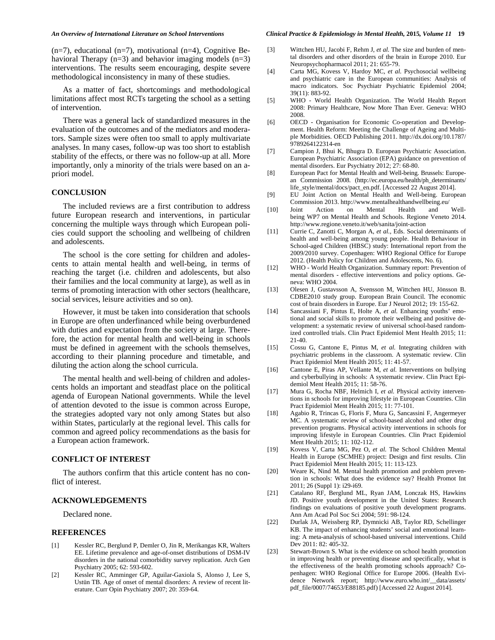#### *An Overview of International Literature on School Interventions Clinical Practice & Epidemiology in Mental Health,* **2015***, Volume 11* **19**

 $(n=7)$ , educational  $(n=7)$ , motivational  $(n=4)$ , Cognitive Behavioral Therapy  $(n=3)$  and behavior imaging models  $(n=3)$ interventions. The results seem encouraging, despite severe methodological inconsistency in many of these studies.

As a matter of fact, shortcomings and methodological limitations affect most RCTs targeting the school as a setting of intervention.

There was a general lack of standardized measures in the evaluation of the outcomes and of the mediators and moderators. Sample sizes were often too small to apply multivariate analyses. In many cases, follow-up was too short to establish stability of the effects, or there was no follow-up at all. More importantly, only a minority of the trials were based on an apriori model.

# **CONCLUSION**

The included reviews are a first contribution to address future European research and interventions, in particular concerning the multiple ways through which European policies could support the schooling and wellbeing of children and adolescents.

The school is the core setting for children and adolescents to attain mental health and well-being, in terms of reaching the target (i.e. children and adolescents, but also their families and the local community at large), as well as in terms of promoting interaction with other sectors (healthcare, social services, leisure activities and so on).

However, it must be taken into consideration that schools in Europe are often underfinanced while being overburdened with duties and expectation from the society at large. Therefore, the action for mental health and well-being in schools must be defined in agreement with the schools themselves, according to their planning procedure and timetable, and diluting the action along the school curricula.

The mental health and well-being of children and adolescents holds an important and steadfast place on the political agenda of European National governments. While the level of attention devoted to the issue is common across Europe, the strategies adopted vary not only among States but also within States, particularly at the regional level. This calls for common and agreed policy recommendations as the basis for a European action framework.

## **CONFLICT OF INTEREST**

The authors confirm that this article content has no conflict of interest.

#### **ACKNOWLEDGEMENTS**

Declared none.

# **REFERENCES**

- [1] Kessler RC, Berglund P, Demler O, Jin R, Merikangas KR, Walters EE. Lifetime prevalence and age-of-onset distributions of DSM-IV disorders in the national comorbidity survey replication. Arch Gen Psychiatry 2005; 62: 593-602.
- [2] Kessler RC, Amminger GP, Aguilar-Gaxiola S, Alonso J, Lee S, Ustün TB. Age of onset of mental disorders: A review of recent literature. Curr Opin Psychiatry 2007; 20: 359-64.
- [3] Wittchen HU, Jacobi F, Rehm J, et al. The size and burden of mental disorders and other disorders of the brain in Europe 2010. Eur Neuropsychopharmacol 2011; 21: 655-79.
- [4] Carta MG, Kovess V, Hardoy MC, *et al.* Psychosocial wellbeing and psychiatric care in the European communities: Analysis of macro indicators. Soc Psychiatr Psychiatric Epidemiol 2004; 39(11): 883-92.
- [5] WHO World Health Organization. The World Health Report 2008: Primary Healthcare, Now More Than Ever. Geneva: WHO 2008.
- [6] OECD Organisation for Economic Co-operation and Development. Health Reform: Meeting the Challenge of Ageing and Multiple Morbidities. OECD Publishing 2011. http://dx.doi.org/10.1787/ 9789264122314-en
- [7] Campion J, Bhui K, Bhugra D. European Psychiatric Association. European Psychiatric Association (EPA) guidance on prevention of mental disorders. Eur Psychiatry 2012; 27: 68-80.
- [8] European Pact for Mental Health and Well-being. Brussels: European Commission 2008. (http://ec.europa.eu/health/ph\_determinants/ life\_style/mental/docs/pact\_en.pdf. [Accessed 22 August 2014].
- [9] EU Joint Action on Mental Health and Well-being. European Commission 2013. http://www.mentalhealthandwellbeing.eu/
- [10] Joint Action on Mental Health and Wellbeing WP7 on Mental Health and Schools. Regione Veneto 2014. http://www.regione.veneto.it/web/sanita/joint-action
- [11] Currie C, Zanotti C, Morgan A, *et al.,* Eds. Social determinants of health and well-being among young people. Health Behaviour in School-aged Children (HBSC) study: International report from the 2009/2010 survey. Copenhagen: WHO Regional Office for Europe 2012. (Health Policy for Children and Adolescents, No. 6).
- [12] WHO World Health Organization. Summary report: Prevention of mental disorders - effective interventions and policy options. Geneva: WHO 2004.
- [13] Olesen J, Gustavsson A, Svensson M, Wittchen HU, Jönsson B. CDBE2010 study group. European Brain Council. The economic cost of brain disorders in Europe. Eur J Neurol 2012; 19: 155-62.
- [14] Sancassiani F, Pintus E, Holte A, *et al.* Enhancing youths' emotional and social skills to promote their wellbeing and positive development: a systematic review of universal school-based randomized controlled trials. Clin Pract Epidemiol Ment Health 2015; 11: 21-40.
- [15] Cossu G, Cantone E, Pintus M, *et al.* Integrating children with psychiatric problems in the classroom. A systematic review. Clin Pract Epidemiol Ment Health 2015; 11: 41-57.
- [16] Cantone E, Piras AP, Vellante M, *et al.* Interventions on bullying and cyberbullying in schools: A systematic review. Clin Pract Epidemiol Ment Health 2015; 11: 58-76.
- [17] Mura G, Rocha NBF, Helmich I, *et al.* Physical activity interventions in schools for improving lifestyle in European Countries. Clin Pract Epidemiol Ment Health 2015; 11: 77-101.
- [18] Agabio R, Trincas G, Floris F, Mura G, Sancassini F, Angermeyer MC. A systematic review of school-based alcohol and other drug prevention programs. Physical activity interventions in schools for improving lifestyle in European Countries. Clin Pract Epidemiol Ment Health 2015; 11: 102-112.
- [19] Kovess V, Carta MG, Pez O, *et al.* The School Children Mental Health in Europe (SCMHE) project: Design and first results. Clin Pract Epidemiol Ment Health 2015; 11: 113-123.
- [20] Weare K, Nind M. Mental health promotion and problem prevention in schools: What does the evidence say? Health Promot Int 2011; 26 (Suppl 1): i29-i69.
- [21] Catalano RF, Berglund ML, Ryan JAM, Lonczak HS, Hawkins JD. Positive youth development in the United States: Research findings on evaluations of positive youth development programs. Ann Am Acad Pol Soc Sci 2004; 591: 98-124.
- [22] Durlak JA, Weissberg RP, Dymnicki AB, Taylor RD, Schellinger KB. The impact of enhancing students' social and emotional learning: A meta-analysis of school-based universal interventions. Child Dev 2011: 82: 405-32.
- [23] Stewart-Brown S. What is the evidence on school health promotion in improving health or preventing disease and specifically, what is the effectiveness of the health promoting schools approach? Copenhagen: WHO Regional Office for Europe 2006. (Health Evidence Network report; http://www.euro.who.int/\_\_data/assets/ pdf\_file/0007/74653/E88185.pdf) [Accessed 22 August 2014].